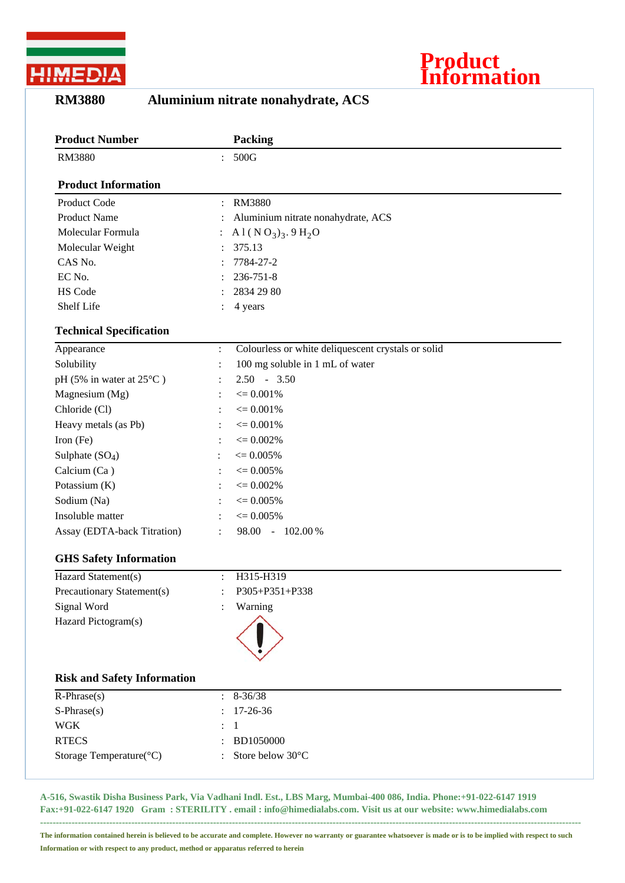

## **Product Information**

## **RM3880 Aluminium nitrate nonahydrate, ACS**

| <b>Product Number</b>              |                | <b>Packing</b>                                     |
|------------------------------------|----------------|----------------------------------------------------|
| <b>RM3880</b>                      |                | 500G                                               |
| <b>Product Information</b>         |                |                                                    |
| Product Code                       | $\ddot{\cdot}$ | <b>RM3880</b>                                      |
| <b>Product Name</b>                |                | Aluminium nitrate nonahydrate, ACS                 |
| Molecular Formula                  |                | A 1 ( $N O_3$ ) <sub>3</sub> . 9 H <sub>2</sub> O  |
| Molecular Weight                   |                | 375.13                                             |
| CAS No.                            |                | 7784-27-2                                          |
| EC No.                             |                | 236-751-8                                          |
| HS Code                            |                | 2834 29 80                                         |
| Shelf Life                         |                | 4 years                                            |
| <b>Technical Specification</b>     |                |                                                    |
| Appearance                         | $\ddot{\cdot}$ | Colourless or white deliquescent crystals or solid |
| Solubility                         | $\ddot{\cdot}$ | 100 mg soluble in 1 mL of water                    |
| pH (5% in water at 25°C)           |                | $2.50 - 3.50$                                      |
| Magnesium (Mg)                     |                | $\epsilon = 0.001\%$                               |
| Chloride (Cl)                      |                | $\epsilon = 0.001\%$                               |
| Heavy metals (as Pb)               |                | $\epsilon = 0.001\%$                               |
| Iron (Fe)                          |                | $\epsilon = 0.002\%$                               |
| Sulphate $(SO4)$                   |                | $\epsilon = 0.005\%$                               |
| Calcium (Ca)                       |                | $\epsilon = 0.005\%$                               |
| Potassium (K)                      |                | $\epsilon = 0.002\%$                               |
| Sodium (Na)                        |                | $\epsilon = 0.005\%$                               |
| Insoluble matter                   |                | $\epsilon = 0.005\%$                               |
| Assay (EDTA-back Titration)        |                | 98.00 - 102.00 %                                   |
| <b>GHS Safety Information</b>      |                |                                                    |
| Hazard Statement(s)                | $\ddot{\cdot}$ | H315-H319                                          |
| Precautionary Statement(s)         | $\ddot{\cdot}$ | P305+P351+P338                                     |
| Signal Word                        |                | Warning                                            |
| Hazard Pictogram(s)                |                |                                                    |
| <b>Risk and Safety Information</b> |                |                                                    |
| $R$ -Phrase $(s)$                  |                | $8 - 36/38$                                        |
| $S-Phrase(s)$                      |                | 17-26-36                                           |
| <b>WGK</b>                         |                | 1                                                  |
| <b>RTECS</b>                       |                | BD1050000                                          |
| Storage Temperature(°C)            |                | Store below 30°C                                   |
|                                    |                |                                                    |

**A-516, Swastik Disha Business Park, Via Vadhani Indl. Est., LBS Marg, Mumbai-400 086, India. Phone:+91-022-6147 1919 Fax:+91-022-6147 1920 Gram : STERILITY . email : info@himedialabs.com. Visit us at our website: www.himedialabs.com ----------------------------------------------------------------------------------------------------------------------------------------------------------------------------**

**The information contained herein is believed to be accurate and complete. However no warranty or guarantee whatsoever is made or is to be implied with respect to such Information or with respect to any product, method or apparatus referred to herein**